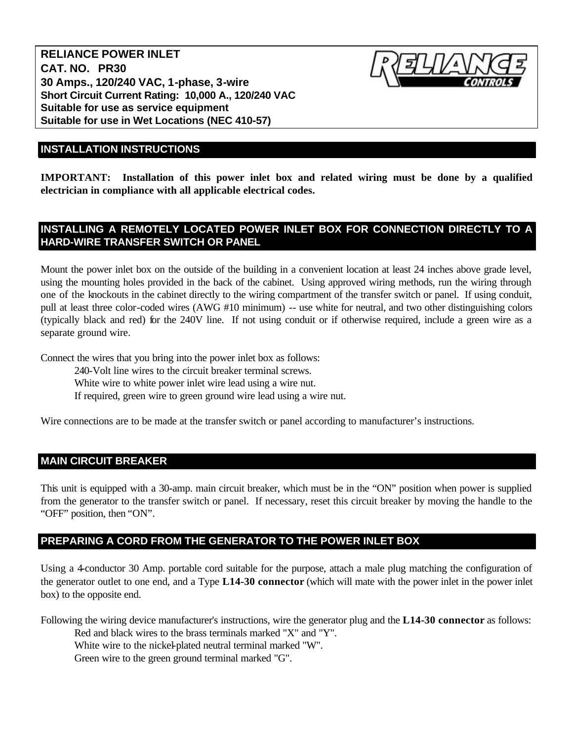**RELIANCE POWER INLET CAT. NO. PR30 30 Amps., 120/240 VAC, 1-phase, 3-wire Short Circuit Current Rating: 10,000 A., 120/240 VAC Suitable for use as service equipment Suitable for use in Wet Locations (NEC 410-57)**



# **INSTALLATION INSTRUCTIONS**

**IMPORTANT: Installation of this power inlet box and related wiring must be done by a qualified electrician in compliance with all applicable electrical codes.**

### **INSTALLING A REMOTELY LOCATED POWER INLET BOX FOR CONNECTION DIRECTLY TO A HARD-WIRE TRANSFER SWITCH OR PANEL**

Mount the power inlet box on the outside of the building in a convenient location at least 24 inches above grade level, using the mounting holes provided in the back of the cabinet. Using approved wiring methods, run the wiring through one of the knockouts in the cabinet directly to the wiring compartment of the transfer switch or panel. If using conduit, pull at least three color-coded wires (AWG #10 minimum) -- use white for neutral, and two other distinguishing colors (typically black and red) for the 240V line. If not using conduit or if otherwise required, include a green wire as a separate ground wire.

Connect the wires that you bring into the power inlet box as follows:

240-Volt line wires to the circuit breaker terminal screws. White wire to white power inlet wire lead using a wire nut.

If required, green wire to green ground wire lead using a wire nut.

Wire connections are to be made at the transfer switch or panel according to manufacturer's instructions.

#### **MAIN CIRCUIT BREAKER**

This unit is equipped with a 30-amp. main circuit breaker, which must be in the "ON" position when power is supplied from the generator to the transfer switch or panel. If necessary, reset this circuit breaker by moving the handle to the "OFF" position, then "ON".

#### **PREPARING A CORD FROM THE GENERATOR TO THE POWER INLET BOX**

Using a 4-conductor 30 Amp. portable cord suitable for the purpose, attach a male plug matching the configuration of the generator outlet to one end, and a Type **L14-30 connector** (which will mate with the power inlet in the power inlet box) to the opposite end.

Following the wiring device manufacturer's instructions, wire the generator plug and the **L14-30 connector** as follows:

Red and black wires to the brass terminals marked "X" and "Y".

White wire to the nickel-plated neutral terminal marked "W".

Green wire to the green ground terminal marked "G".